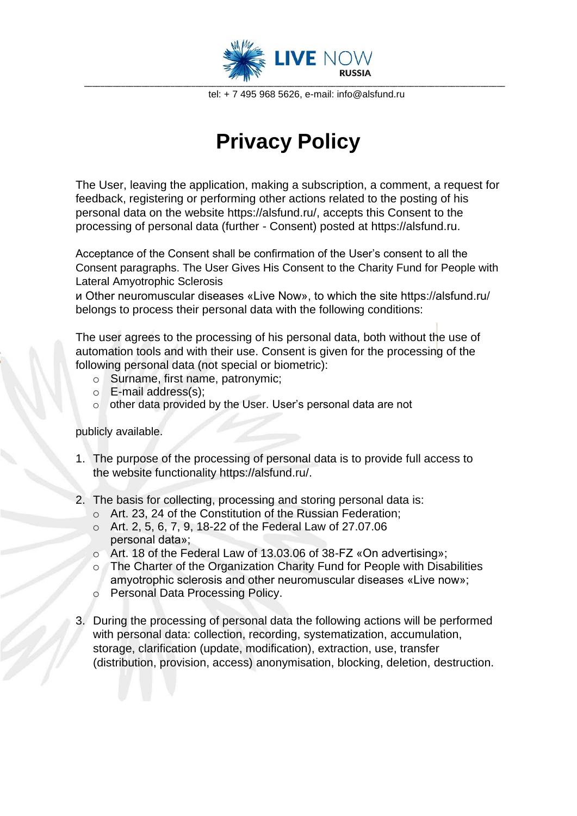

tel: + 7 495 968 5626, e-mail: info@alsfund.ru

## **Privacy Policy**

The User, leaving the application, making a subscription, a comment, a request for feedback, registering or performing other actions related to the posting of his personal data on the website https://alsfund.ru/, accepts this Consent to the processing of personal data (further - Consent) posted at https://alsfund.ru.

Acceptance of the Consent shall be confirmation of the User's consent to all the Consent paragraphs. The User Gives His Consent to the Charity Fund for People with Lateral Amyotrophic Sclerosis

и Other neuromuscular diseases «Live Now», to which the site https://alsfund.ru/ belongs to process their personal data with the following conditions[:](https://alsfund.ru/)

The user agrees to the processing of his personal data, both without the use of automation tools and with their use. Consent is given for the processing of the following personal data (not special or biometric):

- o Surname, first name, patronymic;
- o E-mail address(s);
- o other data provided by the User. User's personal data are not

publicly available.

- 1. The purpose of the processing of personal data is to provide full access to the website functionality https://alsfund.ru/.
- 2. The basis for collecting, processing and storing personal data is:
	- o Art. 23, 24 of the Constitution of the Russian Federation;
	- o Art. 2, 5, 6, 7, 9, 18-22 of the Federal Law of 27.07.06 personal data»;
	- o Art. 18 of the Federal Law of 13.03.06 of 38-FZ «On advertising»;
	- o The Charter of the Organization Charity Fund for People with Disabilities amyotrophic sclerosis and other neuromuscular diseases «Live now»;
	- o Personal Data Processing Policy.
- 3. During the processing of personal data the following actions will be performed with personal data: collection, recording, systematization, accumulation, storage, clarification (update, modification), extraction, use, transfer (distribution, provision, access) anonymisation, blocking, deletion, destruction.